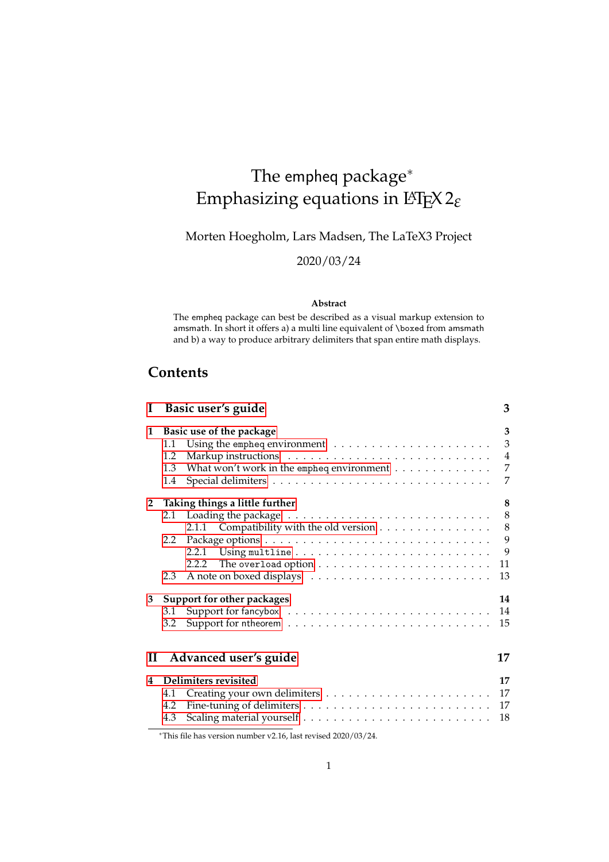# The empheq package<sup>\*</sup> Emphasizing equations in LATEX 2*ε*

Morten Hoegholm, Lars Madsen, The LaTeX3 Project

2020/03/24

### **Abstract**

The empheq package can best be described as a visual markup extension to amsmath. In short it offers a) a multi line equivalent of \boxed from amsmath and b) a way to produce arbitrary delimiters that span entire math displays.

# **Contents**

|                   | I Basic user's guide                                                                                                                                                                                                                                                                                     | 3                                                              |
|-------------------|----------------------------------------------------------------------------------------------------------------------------------------------------------------------------------------------------------------------------------------------------------------------------------------------------------|----------------------------------------------------------------|
| $\mathbf{1}$      | Basic use of the package<br>1.1<br>1.2<br>What won't work in the empheq environment $\dots\dots\dots\dots\dots$<br>1.3<br>1.4                                                                                                                                                                            | 3<br>$\mathfrak{Z}$<br>$\boldsymbol{4}$<br>$\overline{7}$<br>7 |
| $2^{\circ}$       | Taking things a little further<br>2.1 Loading the package $\ldots \ldots \ldots \ldots \ldots \ldots \ldots \ldots$<br>2.1.1 Compatibility with the old version<br>Package options<br>$\dots\dots\dots\dots\dots\dots\dots\dots\dots\dots\dots\dots\dots\dots$<br>$2.2^{\circ}$<br>2.2.1<br>2.2.2<br>2.3 | 8<br>$\,8\,$<br>8<br>9<br>9<br>11<br>13                        |
| 3<br>$\mathbf{I}$ | Support for other packages<br>3.1<br>3.2<br>Advanced user's guide                                                                                                                                                                                                                                        | 14<br>14<br>15<br>17                                           |
| 4                 | Delimiters revisited<br>4.1<br>Fine-tuning of delimiters $\ldots\ldots\ldots\ldots\ldots\ldots\ldots\ldots\ldots\ldots\ldots$<br>4.2<br>4.3                                                                                                                                                              | 17<br>17<br>17<br>18                                           |

<sup>∗</sup>This file has version number v2.16, last revised 2020/03/24.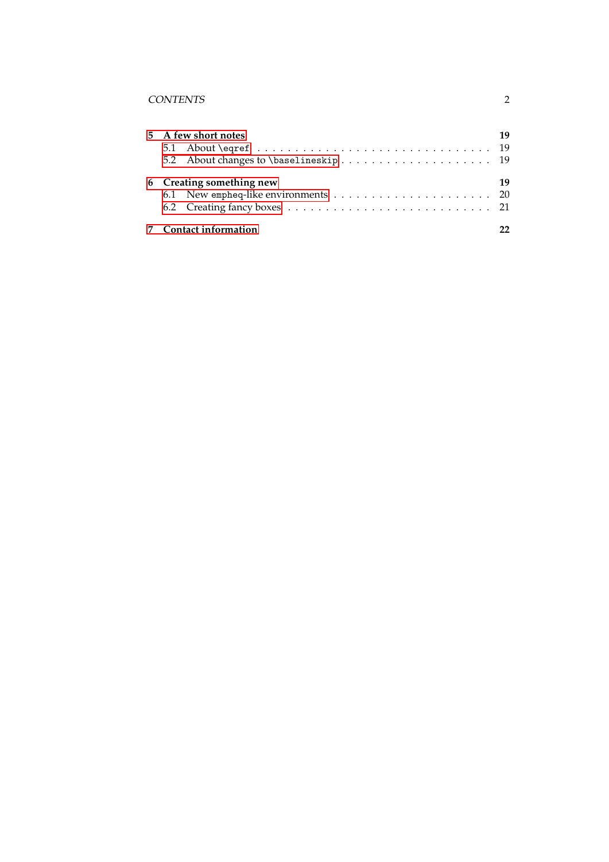# CONTENTS 2

|  | 5 A few short notes      | 19 |
|--|--------------------------|----|
|  | 6 Creating something new | 19 |
|  | 7 Contact information    | 22 |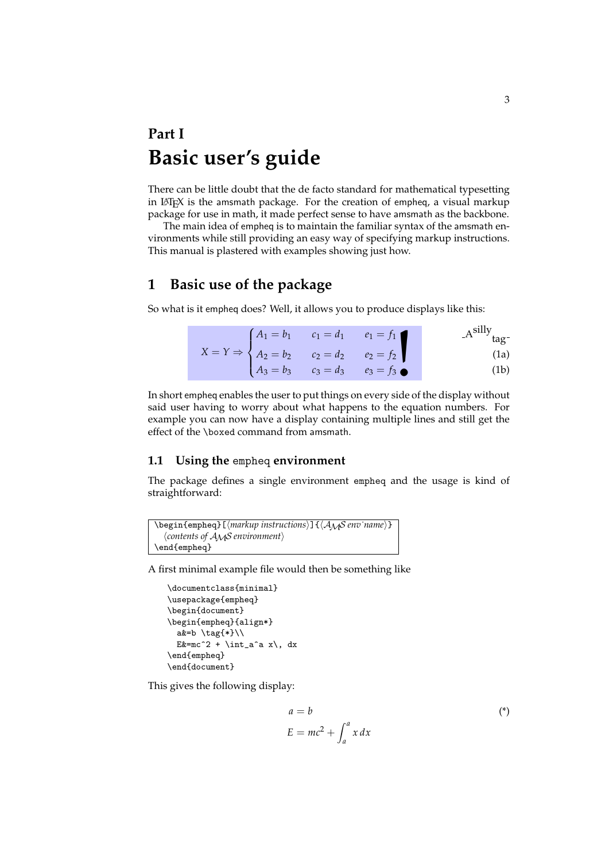# <span id="page-2-0"></span>**Part I Basic user's guide**

There can be little doubt that the de facto standard for mathematical typesetting in LATEX is the amsmath package. For the creation of empheq, a visual markup package for use in math, it made perfect sense to have amsmath as the backbone.

The main idea of empheq is to maintain the familiar syntax of the amsmath environments while still providing an easy way of specifying markup instructions. This manual is plastered with examples showing just how.

# <span id="page-2-1"></span>**1 Basic use of the package**

So what is it empheq does? Well, it allows you to produce displays like this:

|  | $X = Y \Rightarrow \begin{cases} A_1 = b_1 & c_1 = d_1 & e_1 = f_1 \\ A_2 = b_2 & c_2 = d_2 & e_2 = f_2 \\ A_3 = b_3 & c_3 = d_3 & e_3 = f_3 \end{cases}$ | $A^{silly}$ <sub>tag</sub> -                                                                                   |
|--|-----------------------------------------------------------------------------------------------------------------------------------------------------------|----------------------------------------------------------------------------------------------------------------|
|  |                                                                                                                                                           | (1a)                                                                                                           |
|  |                                                                                                                                                           | (1b)                                                                                                           |
|  |                                                                                                                                                           | ture diameter est a que est tempe a contracto de la calidad diameter de la calidad de la calidad de la calidad |

In short empheq enables the user to put things on every side of the display without said user having to worry about what happens to the equation numbers. For example you can now have a display containing multiple lines and still get the effect of the \boxed command from amsmath.

## <span id="page-2-2"></span>**1.1 Using the** empheq **environment**

The package defines a single environment empheq and the usage is kind of straightforward:

```
\begin{empheq}[⟨markup instructions⟩]{⟨AMS env˙name⟩}
  ⟨contents of AMS environment⟩
\end{empheq}
```
A first minimal example file would then be something like

```
\documentclass{minimal}
\usepackage{empheq}
\begin{document}
\begin{empheq}{align*}
  a&=b \tag{*}\\
  E \&=\text{mc}^2 + \int_a^a x, dx\end{empheq}
\end{document}
```
This gives the following display:

$$
a = b
$$
  
\n
$$
E = mc^2 + \int_a^a x \, dx
$$
 (\*)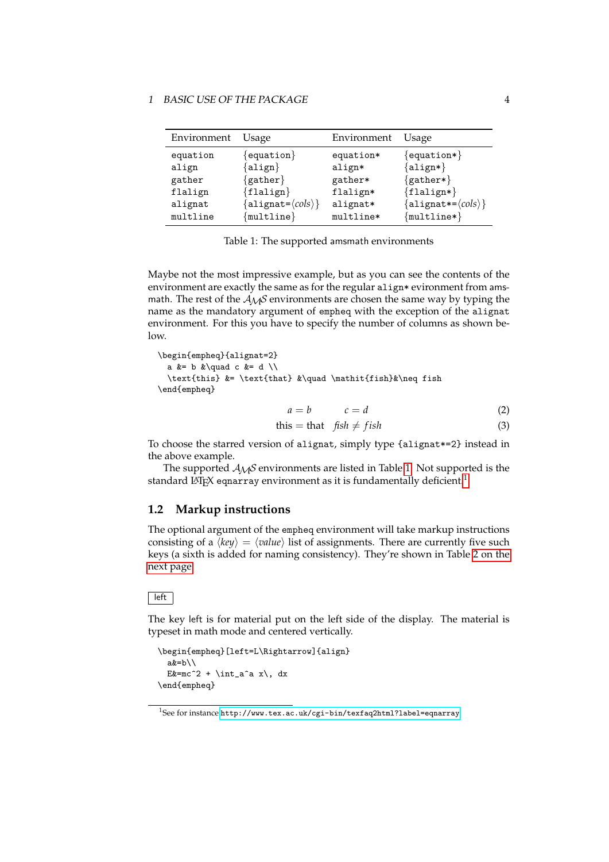#### 1 BASIC USE OF THE PACKAGE 4

| Environment | Usage                                       | Environment | Usage                          |
|-------------|---------------------------------------------|-------------|--------------------------------|
| equation    | $\{$ equation $\}$                          | equation*   | ${equation*}$                  |
| align       | $\{ \texttt{align} \}$                      | align*      | $\{align*\}$                   |
| gather      | ${gather}$                                  | gather*     | $\{gather* \}$                 |
| flalign     | ${f1}$ align $}$                            | flalign*    | ${flalign*}$                   |
| alignat     | ${allight = \langle \textit{cols} \rangle}$ | alignat*    | ${alignat}{\leq}(\text{cols})$ |
| multline    | ${multline}$                                | multline*   | ${multline*}$                  |

<span id="page-3-1"></span>Table 1: The supported amsmath environments

Maybe not the most impressive example, but as you can see the contents of the environment are exactly the same as for the regular align\* evironment from amsmath. The rest of the  $A_{\mathcal{M}}S$  environments are chosen the same way by typing the name as the mandatory argument of empheq with the exception of the alignat environment. For this you have to specify the number of columns as shown below.

\begin{empheq}{alignat=2} a  $k=$  b  $k\quad$ quad c  $k=$  d  $\setminus$ \text{this} &= \text{that} &\quad \mathit{fish}&\neq fish \end{empheq}  $a = b$   $c = d$ 

$$
a = b \qquad \qquad c = d \tag{2}
$$

this = that  $fish \neq fish$ (3)

To choose the starred version of alignat, simply type {alignat\*=2} instead in the above example.

The supported  $A_{\mathcal{M}}S$  environments are listed in Table [1.](#page-3-1) Not supported is the standard LAT<sub>E</sub>X eqnarray environment as it is fundamentally deficient.<sup>[1](#page-3-2)</sup>

# <span id="page-3-0"></span>**1.2 Markup instructions**

The optional argument of the empheq environment will take markup instructions consisting of a  $\langle key \rangle = \langle value \rangle$  list of assignments. There are currently five such keys (a sixth is added for naming consistency). They're shown in Table [2 on the](#page-4-0) [next page.](#page-4-0)

### $\sqrt{\phantom{a}}$ left

The key left is for material put on the left side of the display. The material is typeset in math mode and centered vertically.

```
\begin{empheq}[left=L\Rightarrow]{align}
  a&=b\\
  E \text{Ex} = mc^2 + \int_aa^a x \, dx\end{empheq}
```
<span id="page-3-2"></span><sup>1</sup>See for instance <http://www.tex.ac.uk/cgi-bin/texfaq2html?label=eqnarray>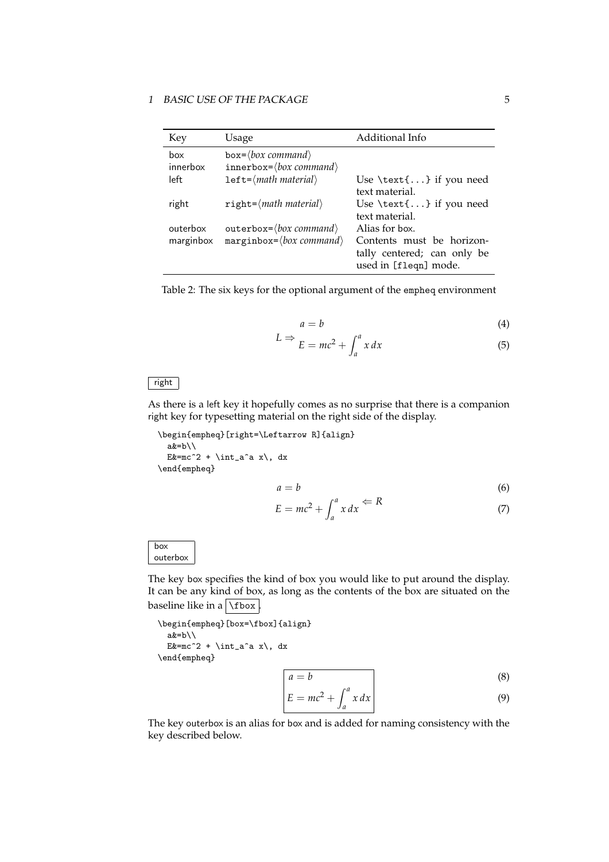### 1 BASIC USE OF THE PACKAGE 5

| Key                   | Usage                                                                                    | Additional Info                                                                                     |
|-----------------------|------------------------------------------------------------------------------------------|-----------------------------------------------------------------------------------------------------|
| hox<br>innerbox       | $box=$ {box command}<br>$innerbox={box:}$                                                |                                                                                                     |
| left                  | $left=$ (math material)                                                                  | Use $\text{text} \ldots$ if you need<br>text material.                                              |
| right                 | $right=$ { <i>math material</i> }                                                        | Use $\text{text} \ldots$ if you need<br>text material.                                              |
| outerbox<br>marginbox | $outerbox=$ $\langle box\ command \rangle$<br>$marginbox = \langle box\ command \rangle$ | Alias for box.<br>Contents must be horizon-<br>tally centered; can only be<br>used in [fleqn] mode. |

<span id="page-4-0"></span>Table 2: The six keys for the optional argument of the empheq environment

$$
a = b \tag{4}
$$

$$
L \Rightarrow E = mc^2 + \int_a^a x \, dx \tag{5}
$$

### right

As there is a left key it hopefully comes as no surprise that there is a companion right key for typesetting material on the right side of the display.

\begin{empheq}[right=\Leftarrow R]{align}  $a&=b\\$ E  $\text{Ex} = mc^2 + \int_0^x dx, dx$ \end{empheq}

$$
a = b \tag{6}
$$

$$
E = mc^2 + \int_a^a x \, dx \stackrel{\Longleftarrow}{=} R \tag{7}
$$

box outerbox

The key box specifies the kind of box you would like to put around the display. It can be any kind of box, as long as the contents of the box are situated on the baseline like in a  $\frac{1}{10}$ 

```
\begin{empheq}[box=\fbox]{align}
 a&=b\\E x = mc^2 + \int_aa^x, dx
\end{empheq}
```

$$
a = b \tag{8}
$$

$$
E = mc^2 + \int_a^a x \, dx \tag{9}
$$

The key outerbox is an alias for box and is added for naming consistency with the key described below.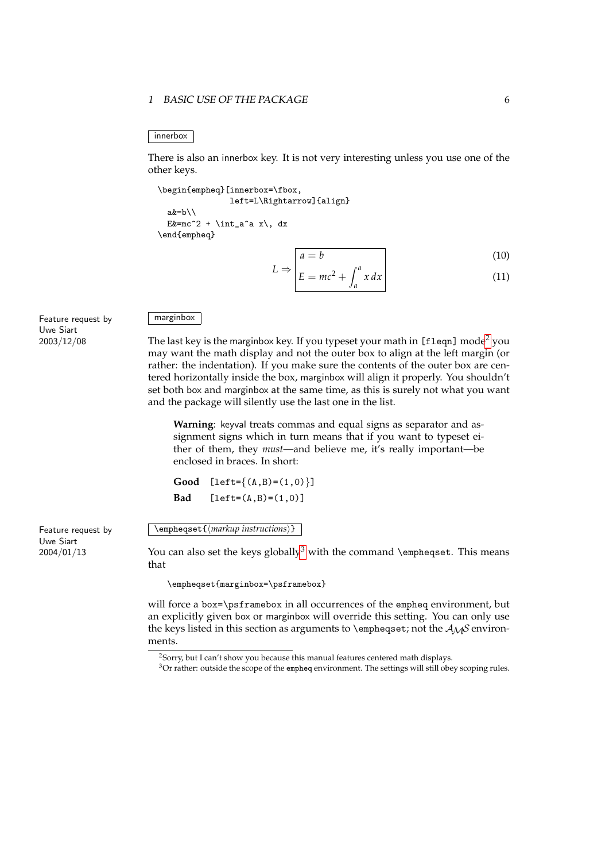#### 1 BASIC USE OF THE PACKAGE 6

#### innerbox

There is also an innerbox key. It is not very interesting unless you use one of the other keys.

```
\begin{empheq}[innerbox=\fbox,
               left=L\Rightarrow]{align}
  a&=b\\
  E z = mc^2 + \int_0^x dx, dx\end{empheq}
```

$$
L \Rightarrow \begin{vmatrix} a = b & (10) \\ E = mc^2 + \int^a x \, dx \end{vmatrix}
$$

 $E = mc^2 +$  $a$ *x dx*

Feature request by Uwe Siart 2003/12/08

# marginbox

The last key is the marginbox key. If you typeset your math in [fleqn] mode<sup>[2](#page-5-0)</sup> you may want the math display and not the outer box to align at the left margin (or rather: the indentation). If you make sure the contents of the outer box are centered horizontally inside the box, marginbox will align it properly. You shouldn't set both box and marginbox at the same time, as this is surely not what you want and the package will silently use the last one in the list.

**Warning**: keyval treats commas and equal signs as separator and assignment signs which in turn means that if you want to typeset either of them, they *must*—and believe me, it's really important—be enclosed in braces. In short:

```
Good [left={(A,B)=(1,0)}]
Bad [left=(A,B)=(1,0)]
```
\empheqset{⟨*markup instructions*⟩}

You can also set the keys globally<sup>[3](#page-5-1)</sup> with the command \empheqset. This means that

\empheqset{marginbox=\psframebox}

will force a box=\psframebox in all occurrences of the empheq environment, but an explicitly given box or marginbox will override this setting. You can only use the keys listed in this section as arguments to \empheqset; not the  $A_{\mathcal{M}}$ S environments.

Feature request by Uwe Siart 2004/01/13

<span id="page-5-0"></span><sup>&</sup>lt;sup>2</sup>Sorry, but I can't show you because this manual features centered math displays.

<span id="page-5-1"></span><sup>&</sup>lt;sup>3</sup>Or rather: outside the scope of the empheq environment. The settings will still obey scoping rules.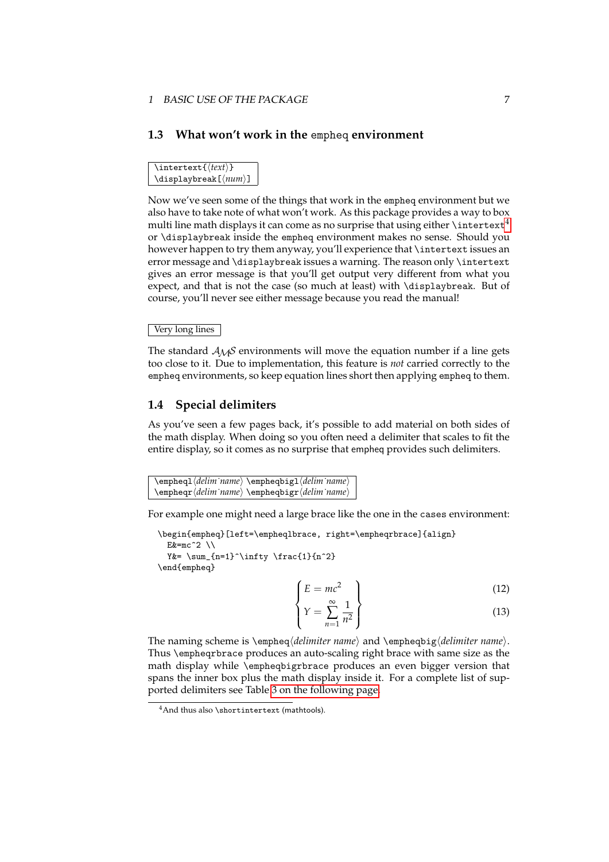# <span id="page-6-0"></span>**1.3 What won't work in the** empheq **environment**

\intertext{⟨*text*⟩} \displaybreak[⟨*num*⟩]

Now we've seen some of the things that work in the empheq environment but we also have to take note of what won't work. As this package provides a way to box multi line math displays it can come as no surprise that using either  $\int$ intertext<sup>[4](#page-6-2)</sup> or \displaybreak inside the empheq environment makes no sense. Should you however happen to try them anyway, you'll experience that \intertext issues an error message and \displaybreak issues a warning. The reason only \intertext gives an error message is that you'll get output very different from what you expect, and that is not the case (so much at least) with \displaybreak. But of course, you'll never see either message because you read the manual!

### Very long lines

The standard  $A_{\mathcal{M}}\mathcal{S}$  environments will move the equation number if a line gets too close to it. Due to implementation, this feature is *not* carried correctly to the empheq environments, so keep equation lines short then applying empheq to them.

# <span id="page-6-1"></span>**1.4 Special delimiters**

As you've seen a few pages back, it's possible to add material on both sides of the math display. When doing so you often need a delimiter that scales to fit the entire display, so it comes as no surprise that empheq provides such delimiters.

\empheql⟨*delim˙name*⟩ \empheqbigl⟨*delim˙name*⟩ \empheqr⟨*delim˙name*⟩ \empheqbigr⟨*delim˙name*⟩

For example one might need a large brace like the one in the cases environment:

\begin{empheq}[left=\empheqlbrace, right=\empheqrbrace]{align}  $Ex=mc^2 \ \vee$ Y&=  $\sum_{n=1}^{\infty} \frac{1}{n^2}$ \end{empheq}

> $\sqrt{ }$  $\int$  $E = mc^2$  $\mathcal{L}$  $\overline{\mathcal{L}}$ (12)

$$
\left\{ Y = \sum_{n=1}^{\infty} \frac{1}{n^2} \right\} \tag{13}
$$

The naming scheme is \empheq⟨*delimiter name*⟩ and \empheqbig⟨*delimiter name*⟩. Thus \empheqrbrace produces an auto-scaling right brace with same size as the math display while \empheqbigrbrace produces an even bigger version that spans the inner box plus the math display inside it. For a complete list of supported delimiters see Table [3 on the following page.](#page-7-3)

<span id="page-6-2"></span><sup>4</sup>And thus also \shortintertext (mathtools).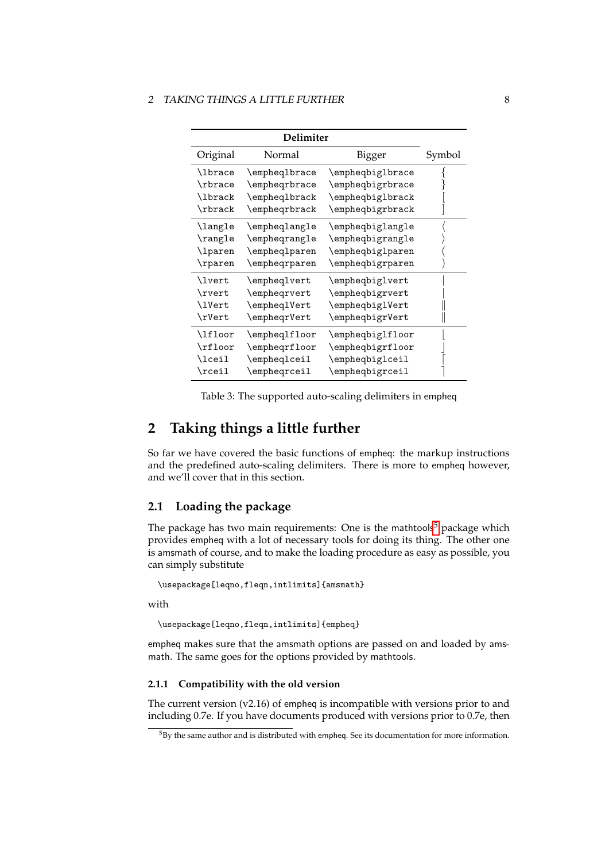| Delimiter      |                        |                             |        |
|----------------|------------------------|-----------------------------|--------|
| Original       | Normal                 | Bigger                      | Symbol |
| \lbrace        | \empheqlbrace          | \empheqbiglbrace            |        |
| \rbrace        | \empheqrbrace          | \empheqbigrbrace            |        |
| \lbrack        | \empheqlbrack          | \empheqbiglbrack            |        |
| \rbrack        | \empheqrbrack          | \empheqbigrbrack            |        |
| <b>\langle</b> | \empheqlangle          | \empheqbiglangle            |        |
| \rangle        | \empheqrangle          | $\emptyset$ empheqbigrangle |        |
| \lparen        | $\emptyset$            | \empheqbiglparen            |        |
| \rparen        | \empheqrparen          | \empheqbigrparen            |        |
| \lvert         | \empheqlvert           | \empheqbiglvert             |        |
| \rvert         | \empheqrvert           | \empheqbigrvert             |        |
| \1Vert         | \empheqlVert           | \empheqbiglVert             |        |
| \rVert         | \empheqrVert           | \empheqbigrVert             |        |
| \lfloor        | \empheqlfloor          | \empheqbiglfloor            |        |
| \rfloor        | \empheqrfloor          | \empheqbigrfloor            |        |
| <b>\lceil</b>  | \empheqlceil           | \empheqbiglceil             |        |
| $\chi$         | $\verb \empheqreceil $ | \empheqbigrceil             |        |

<span id="page-7-3"></span>Table 3: The supported auto-scaling delimiters in empheq

# <span id="page-7-0"></span>**2 Taking things a little further**

So far we have covered the basic functions of empheq: the markup instructions and the predefined auto-scaling delimiters. There is more to empheq however, and we'll cover that in this section.

# <span id="page-7-1"></span>**2.1 Loading the package**

The package has two main requirements: One is the mathtools<sup>[5](#page-7-4)</sup> package which provides empheq with a lot of necessary tools for doing its thing. The other one is amsmath of course, and to make the loading procedure as easy as possible, you can simply substitute

```
\usepackage[leqno,fleqn,intlimits]{amsmath}
```
with

\usepackage[leqno,fleqn,intlimits]{empheq}

empheq makes sure that the amsmath options are passed on and loaded by amsmath. The same goes for the options provided by mathtools.

### <span id="page-7-2"></span>**2.1.1 Compatibility with the old version**

The current version  $(v2.16)$  of empheq is incompatible with versions prior to and including 0.7e. If you have documents produced with versions prior to 0.7e, then

<span id="page-7-4"></span> $5By$  the same author and is distributed with empheq. See its documentation for more information.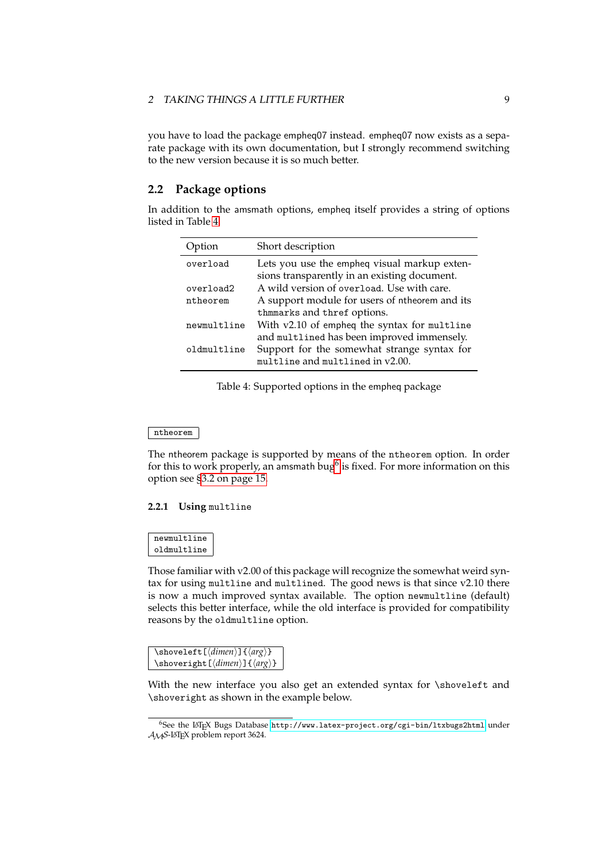you have to load the package empheq07 instead. empheq07 now exists as a separate package with its own documentation, but I strongly recommend switching to the new version because it is so much better.

# <span id="page-8-0"></span>**2.2 Package options**

In addition to the amsmath options, empheq itself provides a string of options listed in Table [4.](#page-8-2)

| ption       | Short description                                                                            |
|-------------|----------------------------------------------------------------------------------------------|
| overload    | Lets you use the empheq visual markup exten-<br>sions transparently in an existing document. |
| overload2   | A wild version of overload. Use with care.                                                   |
| ntheorem    | A support module for users of ntheorem and its                                               |
|             | thmmarks and thref options.                                                                  |
| newmultline | With v2.10 of empheq the syntax for multline                                                 |
|             | and multlined has been improved immensely.                                                   |
| oldmultline | Support for the somewhat strange syntax for<br>multline and multlined in v2.00.              |

<span id="page-8-2"></span>Table 4: Supported options in the empheq package

#### ntheorem

The ntheorem package is supported by means of the ntheorem option. In order for this to work properly, an amsmath bug<sup>[6](#page-8-3)</sup> is fixed. For more information on this option see [§3.2 on page 15.](#page-14-0)

### <span id="page-8-1"></span>**2.2.1 Using** multline

### newmultline oldmultline

Those familiar with v2.00 of this package will recognize the somewhat weird syntax for using multline and multlined. The good news is that since v2.10 there is now a much improved syntax available. The option newmultline (default) selects this better interface, while the old interface is provided for compatibility reasons by the oldmultline option.

| $\simeq \simeq \simeq \frac{1}{\dim en} \frac{1}{\arg b}$ |  |
|-----------------------------------------------------------|--|
| $\verb \shoveright[ \dim en]\]{\arg}$                     |  |

With the new interface you also get an extended syntax for \shoveleft and \shoveright as shown in the example below.

<span id="page-8-3"></span><sup>6</sup>See the LATEX Bugs Database <http://www.latex-project.org/cgi-bin/ltxbugs2html> under AMS-LATEX problem report 3624.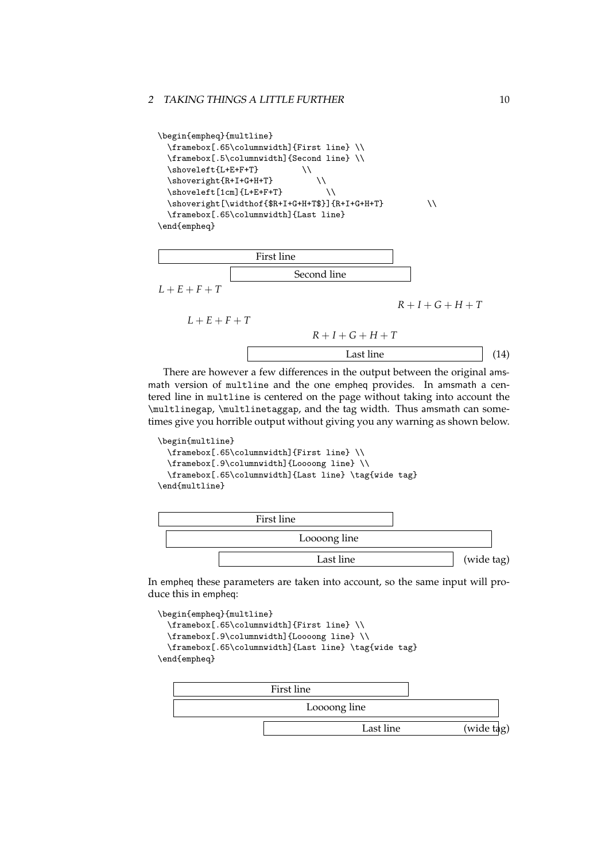```
\begin{empheq}{multline}
  \framebox[.65\columnwidth]{First line} \\
  \framebox[.5\columnwidth]{Second line} \\
  \hbox{\tt \shoveleft\{L+E+F+T\}}\hbox{shoveright} \\
  \hbox{\scriptsize\textsf{\{lcm\}}}\   \hbox{\scriptsize\textsf{l}}\shoveright[\widthof{$R+I+G+H+T$}]{R+I+G+H+T} \\
  \framebox[.65\columnwidth]{Last line}
\end{empheq}
```


There are however a few differences in the output between the original amsmath version of multline and the one empheq provides. In amsmath a centered line in multline is centered on the page without taking into account the \multlinegap, \multlinetaggap, and the tag width. Thus amsmath can sometimes give you horrible output without giving you any warning as shown below.

```
\begin{multline}
  \framebox[.65\columnwidth]{First line} \\
 \framebox[.9\columnwidth]{Loooong line} \\
  \framebox[.65\columnwidth]{Last line} \tag{wide tag}
\end{multline}
```


In empheq these parameters are taken into account, so the same input will produce this in empheq:

```
\begin{empheq}{multline}
  \framebox[.65\columnwidth]{First line} \\
  \framebox[.9\columnwidth]{Loooong line} \\
  \framebox[.65\columnwidth]{Last line} \tag{wide tag}
\end{empheq}
```
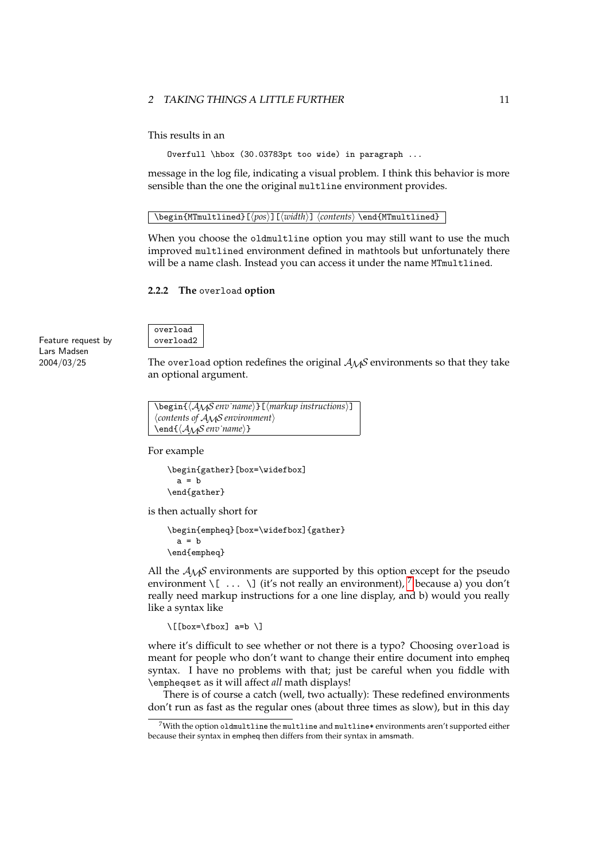This results in an

Overfull \hbox (30.03783pt too wide) in paragraph ...

message in the log file, indicating a visual problem. I think this behavior is more sensible than the one the original multline environment provides.

### \begin{MTmultlined}[⟨*pos*⟩][⟨*width*⟩] ⟨*contents*⟩ \end{MTmultlined}

When you choose the oldmultline option you may still want to use the much improved multlined environment defined in mathtools but unfortunately there will be a name clash. Instead you can access it under the name MTmultlined.

### <span id="page-10-0"></span>**2.2.2 The** overload **option**

Feature request by Lars Madsen 2004/03/25

overload overload2

The overload option redefines the original  $A_{\mathcal{M}}S$  environments so that they take an optional argument.

```
\begin{⟨AMS env˙name⟩}[⟨markup instructions⟩]
⟨contents of AMS environment⟩
\end{⟨AMS env˙name⟩}
```
For example

\begin{gather}[box=\widefbox]  $a = b$ \end{gather}

is then actually short for

```
\begin{empheq}[box=\widefbox]{gather}
 a = b\end{empheq}
```
All the  $A_{\mathcal{M}}S$  environments are supported by this option except for the pseudo environment \[ ... \] (it's not really an environment),  $^7$  $^7$  because a) you don't really need markup instructions for a one line display, and b) would you really like a syntax like

\[[box=\fbox] a=b \]

where it's difficult to see whether or not there is a typo? Choosing overload is meant for people who don't want to change their entire document into empheq syntax. I have no problems with that; just be careful when you fiddle with \empheqset as it will affect *all* math displays!

There is of course a catch (well, two actually): These redefined environments don't run as fast as the regular ones (about three times as slow), but in this day

<span id="page-10-1"></span> $7$ With the option oldmultline the multline and multline\* environments aren't supported either because their syntax in empheq then differs from their syntax in amsmath.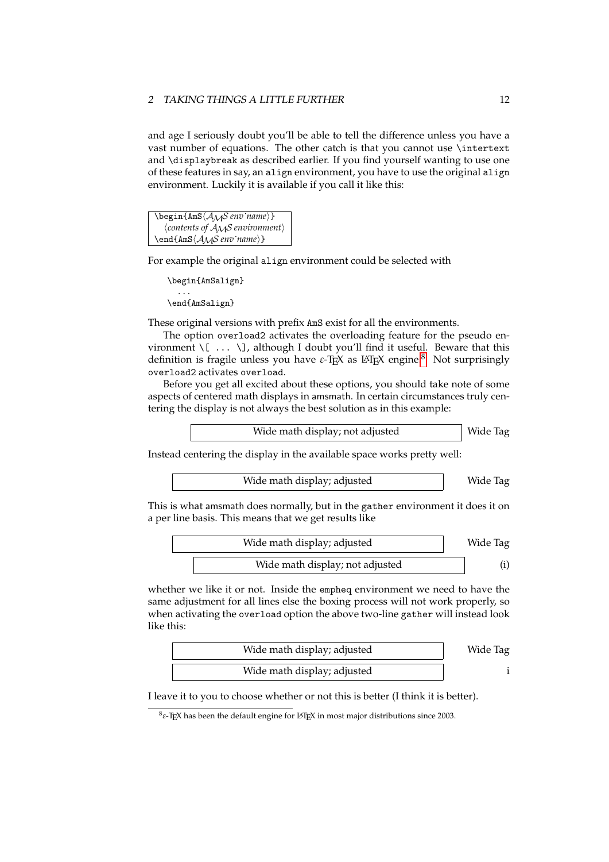and age I seriously doubt you'll be able to tell the difference unless you have a vast number of equations. The other catch is that you cannot use \intertext and \displaybreak as described earlier. If you find yourself wanting to use one of these features in say, an align environment, you have to use the original align environment. Luckily it is available if you call it like this:

\begin{AmS⟨AMS *env˙name*⟩} ⟨*contents of* AMS *environment*⟩ \end{AmS⟨AMS *env˙name*⟩}

For example the original align environment could be selected with

```
\begin{AmSalign}
  ...
\end{AmSalign}
```
These original versions with prefix AmS exist for all the environments.

The option overload2 activates the overloading feature for the pseudo environment  $\langle [\ \ldots \ \rangle]$ , although I doubt you'll find it useful. Beware that this definition is fragile unless you have *ε*-T<sub>E</sub>X as L<sup>AT</sup>E<sub>X</sub> engine.<sup>[8](#page-11-0)</sup> Not surprisingly overload2 activates overload.

Before you get all excited about these options, you should take note of some aspects of centered math displays in amsmath. In certain circumstances truly centering the display is not always the best solution as in this example:

Instead centering the display in the available space works pretty well:

Wide math display; adjusted Wide Tag

This is what amsmath does normally, but in the gather environment it does it on a per line basis. This means that we get results like

| Wide math display; adjusted     | Wide Tag |
|---------------------------------|----------|
| Wide math display; not adjusted |          |

whether we like it or not. Inside the empheq environment we need to have the same adjustment for all lines else the boxing process will not work properly, so when activating the overload option the above two-line gather will instead look like this:

| Wide math display; adjusted | Wide Tag |
|-----------------------------|----------|
| Wide math display; adjusted |          |

I leave it to you to choose whether or not this is better (I think it is better).

Wide Tag

<span id="page-11-0"></span><sup>8</sup> *ε*-TEX has been the default engine for LATEX in most major distributions since 2003.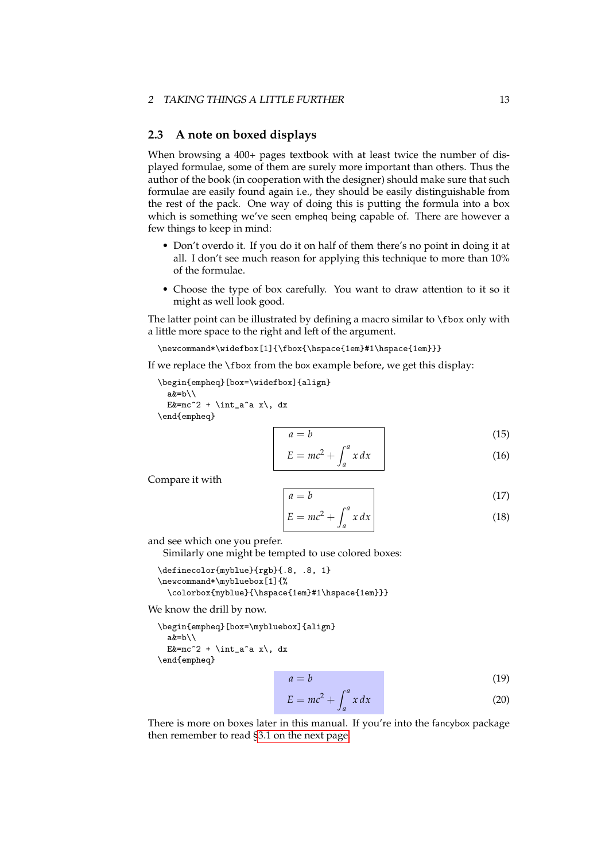### <span id="page-12-0"></span>**2.3 A note on boxed displays**

When browsing a 400+ pages textbook with at least twice the number of displayed formulae, some of them are surely more important than others. Thus the author of the book (in cooperation with the designer) should make sure that such formulae are easily found again i.e., they should be easily distinguishable from the rest of the pack. One way of doing this is putting the formula into a box which is something we've seen empheq being capable of. There are however a few things to keep in mind:

- Don't overdo it. If you do it on half of them there's no point in doing it at all. I don't see much reason for applying this technique to more than 10% of the formulae.
- Choose the type of box carefully. You want to draw attention to it so it might as well look good.

The latter point can be illustrated by defining a macro similar to  $\frac{1}{10}$  only with a little more space to the right and left of the argument.

\newcommand\*\widefbox[1]{\fbox{\hspace{1em}#1\hspace{1em}}}

If we replace the \fbox from the box example before, we get this display:

\begin{empheq}[box=\widefbox]{align} a&=b\\ E  $\text{Ex} = mc^2 + \int_0^a x \, dx$ \end{empheq}

$$
a = b \tag{15}
$$

$$
E = mc^2 + \int_a^a x \, dx \tag{16}
$$

Compare it with

$$
a = b \tag{17}
$$

$$
E = mc^2 + \int_a^a x \, dx \tag{18}
$$

and see which one you prefer.

Similarly one might be tempted to use colored boxes:

```
\definecolor{myblue}{rgb}{.8, .8, 1}
\newcommand*\mybluebox[1]{%
 \colorbox{myblue}{\hspace{1em}#1\hspace{1em}}}
```
We know the drill by now.

```
\begin{empheq}[box=\mybluebox]{align}
  a&=b\\E \text{Ex} = mc^2 + \int_0^a x \, dx\end{empheq}
```

$$
a = b \tag{19}
$$

$$
E = mc^2 + \int_a^a x \, dx \tag{20}
$$

There is more on boxes later in this manual. If you're into the fancybox package then remember to read [§3.1 on the next page.](#page-13-1)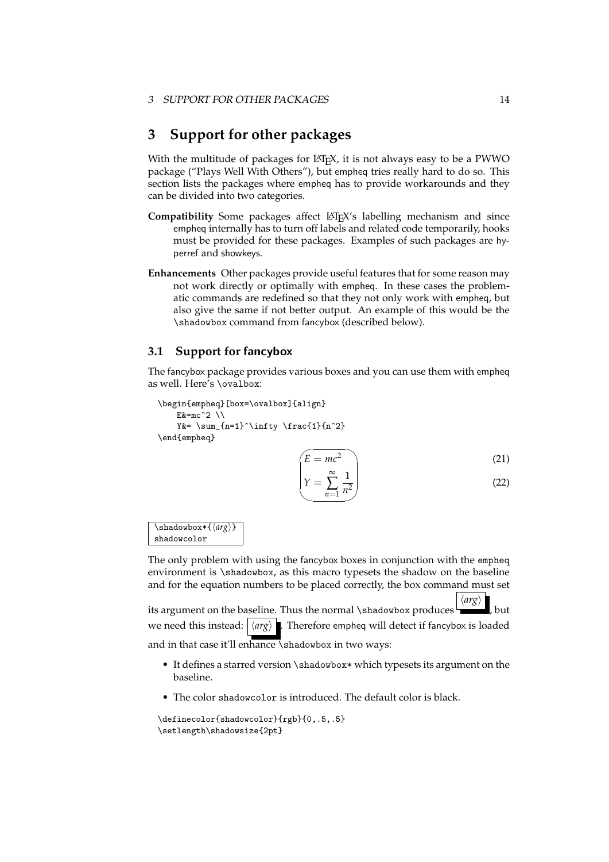# <span id="page-13-0"></span>**3 Support for other packages**

With the multitude of packages for LATEX, it is not always easy to be a PWWO package ("Plays Well With Others"), but empheq tries really hard to do so. This section lists the packages where empheq has to provide workarounds and they can be divided into two categories.

- Compatibility Some packages affect LATEX's labelling mechanism and since empheq internally has to turn off labels and related code temporarily, hooks must be provided for these packages. Examples of such packages are hyperref and showkeys.
- **Enhancements** Other packages provide useful features that for some reason may not work directly or optimally with empheq. In these cases the problematic commands are redefined so that they not only work with empheq, but also give the same if not better output. An example of this would be the \shadowbox command from fancybox (described below).

# <span id="page-13-1"></span>**3.1 Support for** fancybox

The fancybox package provides various boxes and you can use them with empheq as well. Here's \ovalbox:

```
\begin{empheq}[box=\ovalbox]{align}
    E&=mc^2 \lambdaY&= \sum_{n=1}^{\infty} \frac{1}{n^2}\end{empheq}
```

$$
\begin{pmatrix} E = mc^2 \\ \infty \\ 1 \end{pmatrix} \tag{21}
$$

$$
\left(Y = \sum_{n=1}^{\infty} \frac{1}{n^2}\right)
$$
\n(22)

\shadowbox\*{⟨*arg*⟩} shadowcolor

The only problem with using the fancybox boxes in conjunction with the empheq environment is \shadowbox, as this macro typesets the shadow on the baseline and for the equation numbers to be placed correctly, the box command must set

its argument on the baseline. Thus the normal \shadowbox produces ⟨*arg*⟩ , but we need this instead: ⟨*arg*⟩ . Therefore empheq will detect if fancybox is loaded and in that case it'll enhance shadowbox in two ways:

- It defines a starred version \shadowbox\* which typesets its argument on the baseline.
- The color shadowcolor is introduced. The default color is black.

```
\definecolor{shadowcolor}{rgb}{0,.5,.5}
\setlength\shadowsize{2pt}
```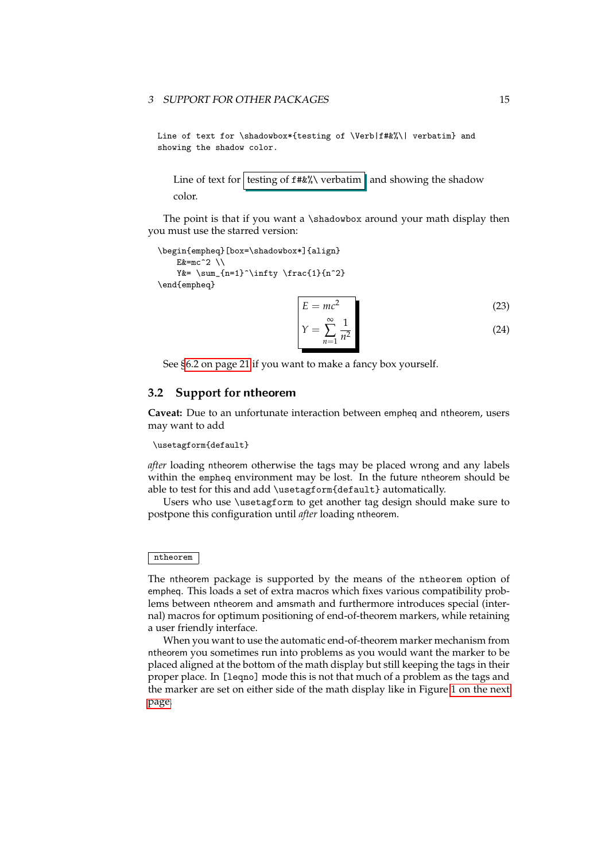#### 3 SUPPORT FOR OTHER PACKAGES 15

Line of text for \shadowbox\*{testing of \Verb|f#&%\| verbatim} and showing the shadow color.

Line of text for testing of  $f#&\aleph$  verbatim and showing the shadow color.

The point is that if you want a \shadowbox around your math display then you must use the starred version:

```
\begin{empheq}[box=\shadowbox*]{align}
   Ex=mc^2 \ \lorY&= \sum_{n=1}^{\infty} \frac{1}{n^2}\end{empheq}
```

$$
E = mc^2
$$
 (23)

$$
Y = \sum_{n=1}^{\infty} \frac{1}{n^2} \tag{24}
$$

See [§6.2 on page 21](#page-20-0) if you want to make a fancy box yourself.

### <span id="page-14-0"></span>**3.2 Support for** ntheorem

**Caveat:** Due to an unfortunate interaction between empheq and ntheorem, users may want to add

#### \usetagform{default}

*after* loading ntheorem otherwise the tags may be placed wrong and any labels within the empheq environment may be lost. In the future ntheorem should be able to test for this and add \usetagform{default} automatically.

Users who use \usetagform to get another tag design should make sure to postpone this configuration until *after* loading ntheorem.

### ntheorem

The ntheorem package is supported by the means of the ntheorem option of empheq. This loads a set of extra macros which fixes various compatibility problems between ntheorem and amsmath and furthermore introduces special (internal) macros for optimum positioning of end-of-theorem markers, while retaining a user friendly interface.

When you want to use the automatic end-of-theorem marker mechanism from ntheorem you sometimes run into problems as you would want the marker to be placed aligned at the bottom of the math display but still keeping the tags in their proper place. In [leqno] mode this is not that much of a problem as the tags and the marker are set on either side of the math display like in Figure [1 on the next](#page-15-0) [page.](#page-15-0)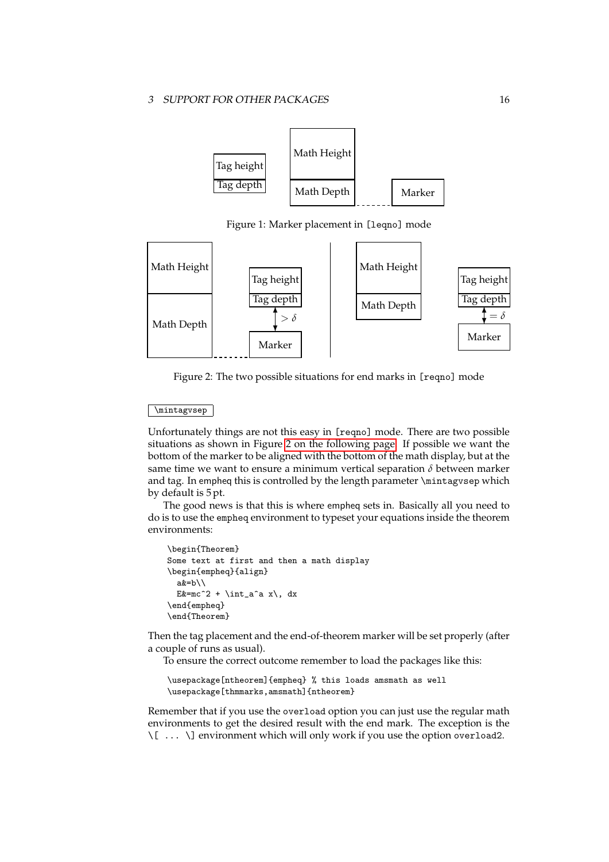

<span id="page-15-0"></span>Figure 1: Marker placement in [leqno] mode



<span id="page-15-1"></span>Figure 2: The two possible situations for end marks in [reqno] mode

### \mintagvsep

Unfortunately things are not this easy in [reqno] mode. There are two possible situations as shown in Figure [2 on the following page.](#page-15-1) If possible we want the bottom of the marker to be aligned with the bottom of the math display, but at the same time we want to ensure a minimum vertical separation *δ* between marker and tag. In empheq this is controlled by the length parameter \mintagvsep which by default is 5 pt.

The good news is that this is where empheq sets in. Basically all you need to do is to use the empheq environment to typeset your equations inside the theorem environments:

```
\begin{Theorem}
Some text at first and then a math display
\begin{empheq}{align}
  a&=b\\
  E z = mc^2 + \int_aa x \, dx\end{empheq}
\end{Theorem}
```
Then the tag placement and the end-of-theorem marker will be set properly (after a couple of runs as usual).

To ensure the correct outcome remember to load the packages like this:

```
\usepackage[ntheorem]{empheq} % this loads amsmath as well
\usepackage[thmmarks,amsmath]{ntheorem}
```
Remember that if you use the overload option you can just use the regular math environments to get the desired result with the end mark. The exception is the \[ ... \] environment which will only work if you use the option overload2.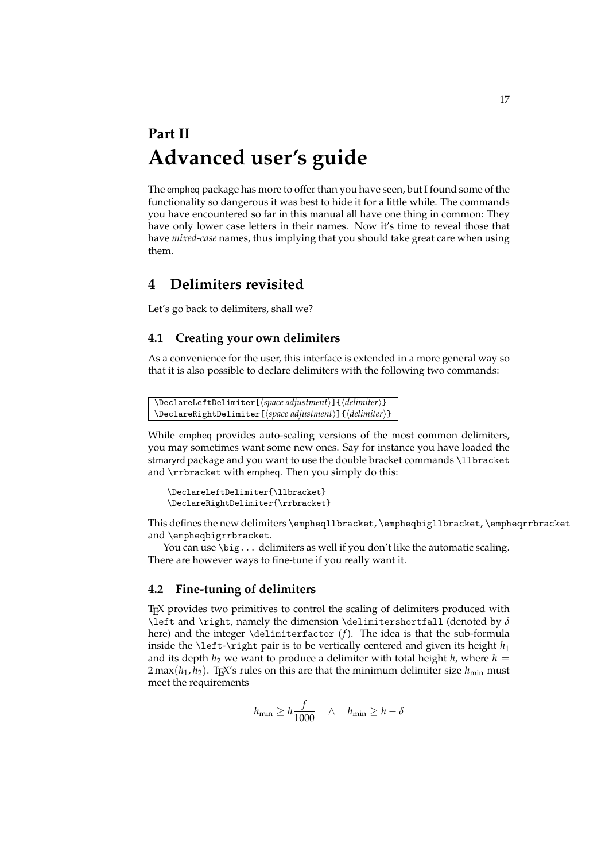# <span id="page-16-0"></span>**Part II Advanced user's guide**

The empheq package has more to offer than you have seen, but I found some of the functionality so dangerous it was best to hide it for a little while. The commands you have encountered so far in this manual all have one thing in common: They have only lower case letters in their names. Now it's time to reveal those that have *mixed-case* names, thus implying that you should take great care when using them.

# <span id="page-16-1"></span>**4 Delimiters revisited**

Let's go back to delimiters, shall we?

# <span id="page-16-2"></span>**4.1 Creating your own delimiters**

As a convenience for the user, this interface is extended in a more general way so that it is also possible to declare delimiters with the following two commands:

```
\DeclareLeftDelimiter[⟨space adjustment⟩]{⟨delimiter⟩}
\DeclareRightDelimiter[⟨space adjustment⟩]{⟨delimiter⟩}
```
While empheq provides auto-scaling versions of the most common delimiters, you may sometimes want some new ones. Say for instance you have loaded the stmaryrd package and you want to use the double bracket commands \llbracket and \rrbracket with empheq. Then you simply do this:

```
\DeclareLeftDelimiter{\llbracket}
\DeclareRightDelimiter{\rrbracket}
```
This defines the new delimiters \empheqllbracket, \empheqbigllbracket, \empheqrrbracket and \empheqbigrrbracket.

You can use \big... delimiters as well if you don't like the automatic scaling. There are however ways to fine-tune if you really want it.

# <span id="page-16-3"></span>**4.2 Fine-tuning of delimiters**

TEX provides two primitives to control the scaling of delimiters produced with \left and \right, namely the dimension \delimitershortfall (denoted by *δ* here) and the integer \delimiterfactor (*f*). The idea is that the sub-formula inside the \left-\right pair is to be vertically centered and given its height  $h_1$ and its depth  $h_2$  we want to produce a delimiter with total height  $h$ , where  $h =$  $2 \max(h_1, h_2)$ . T<sub>E</sub>X's rules on this are that the minimum delimiter size  $h_{\min}$  must meet the requirements

$$
h_{\min} \ge h \frac{f}{1000} \quad \wedge \quad h_{\min} \ge h - \delta
$$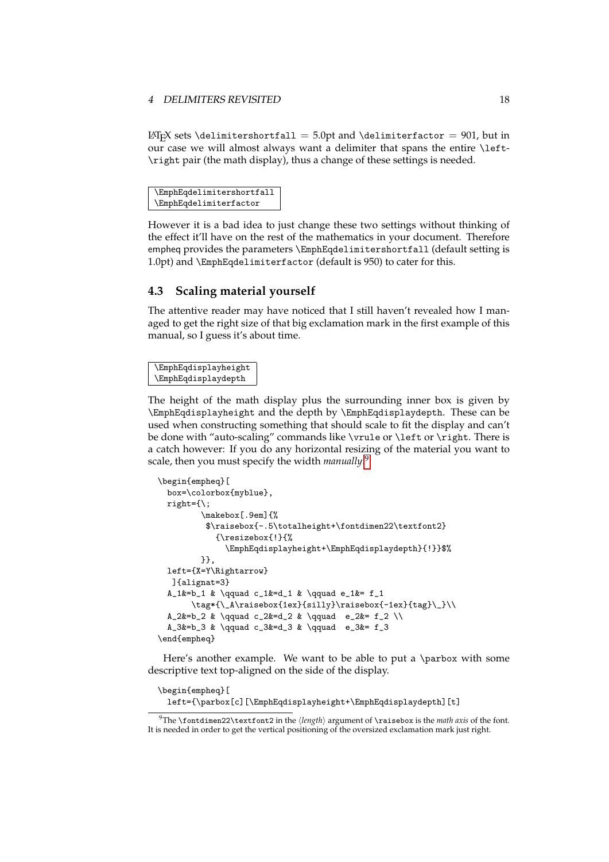#### 4 DELIMITERS REVISITED 18

LATEX sets \delimitershortfall = 5.0pt and \delimiterfactor = 901, but in our case we will almost always want a delimiter that spans the entire \left- \right pair (the math display), thus a change of these settings is needed.

\EmphEqdelimitershortfall \EmphEqdelimiterfactor

However it is a bad idea to just change these two settings without thinking of the effect it'll have on the rest of the mathematics in your document. Therefore empheq provides the parameters \EmphEqdelimitershortfall (default setting is 1.0pt) and \EmphEqdelimiterfactor (default is 950) to cater for this.

# <span id="page-17-0"></span>**4.3 Scaling material yourself**

The attentive reader may have noticed that I still haven't revealed how I managed to get the right size of that big exclamation mark in the first example of this manual, so I guess it's about time.

```
\EmphEqdisplayheight
\EmphEqdisplaydepth
```
The height of the math display plus the surrounding inner box is given by \EmphEqdisplayheight and the depth by \EmphEqdisplaydepth. These can be used when constructing something that should scale to fit the display and can't be done with "auto-scaling" commands like \vrule or \left or \right. There is a catch however: If you do any horizontal resizing of the material you want to scale, then you must specify the width *manually*: [9](#page-17-1)

```
\begin{empheq}[
 box=\colorbox{myblue},
 right={\;
         \makebox[.9em]{%
          $\raisebox{-.5\totalheight+\fontdimen22\textfont2}
            {\resizebox{!}{%
              \EmphEqdisplayheight+\EmphEqdisplaydepth}{!}}$%
         }},
 left={X=Y\Rightarrow}
  ]{alignat=3}
 A_1&=b_1 & \qquad c_1&=d_1 & \qquad e_1&= f_1
       \tag*{\_A\raisebox{1ex}{silly}\raisebox{-1ex}{tag}\_}\\
 A_2\&=b_2 \& \qquad c_2\&=d_2 \& \qquad \neq c_2\&= f_2 \\\ \nA_3&=b_3 & \qquad c_3&=d_3 & \qquad e_3&= f_3
\end{empheq}
```
Here's another example. We want to be able to put a \parbox with some descriptive text top-aligned on the side of the display.

```
\begin{empheq}[
 left={\parbox[c][\EmphEqdisplayheight+\EmphEqdisplaydepth][t]
```
<span id="page-17-1"></span><sup>9</sup>The \fontdimen22\textfont2 in the ⟨*length*⟩ argument of \raisebox is the *math axis* of the font. It is needed in order to get the vertical positioning of the oversized exclamation mark just right.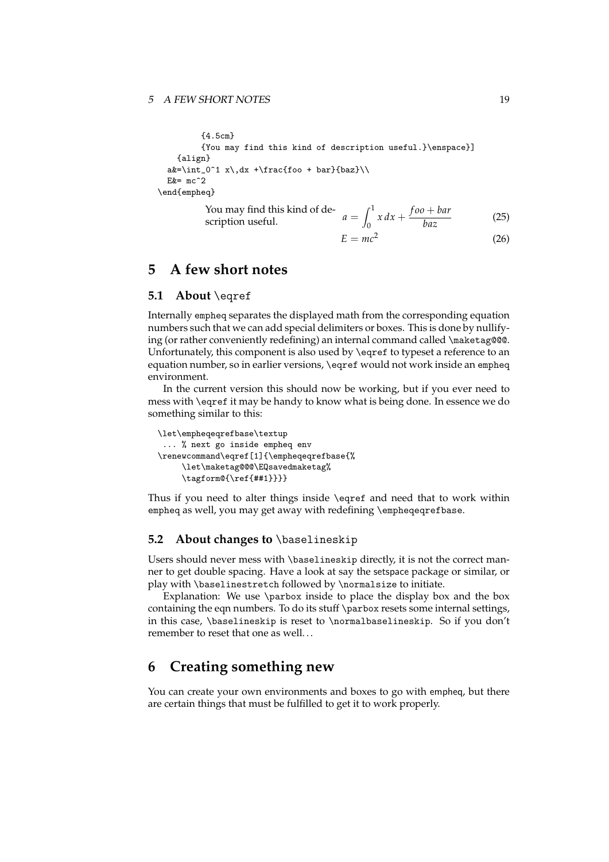{4.5cm} {You may find this kind of description useful.}\enspace}] {align}  $a&=\int_{0^1 x\,dx +\frac{foo + bar}{baz}}\$  $Ex = mc^2$ \end{empheq} You may find this kind of de-<br>scription useful.  $\int_0^1 x \, dx + \frac{f o o + b a r}{b a z}$ *baz* (25)

$$
E = mc^2 \tag{26}
$$

# <span id="page-18-0"></span>**5 A few short notes**

# <span id="page-18-1"></span>**5.1 About** \eqref

Internally empheq separates the displayed math from the corresponding equation numbers such that we can add special delimiters or boxes. This is done by nullifying (or rather conveniently redefining) an internal command called \maketag@@@. Unfortunately, this component is also used by \eqref to typeset a reference to an equation number, so in earlier versions, \eqref would not work inside an empheq environment.

In the current version this should now be working, but if you ever need to mess with \eqref it may be handy to know what is being done. In essence we do something similar to this:

```
\let\empheqeqrefbase\textup
 ... % next go inside empheq env
\renewcommand\eqref[1]{\empheqeqrefbase{%
     \let\maketag@@@\EQsavedmaketag%
     \tagform@{\ref{##1}}}}
```
Thus if you need to alter things inside \eqref and need that to work within empheq as well, you may get away with redefining \empheqeqrefbase.

# <span id="page-18-2"></span>**5.2 About changes to** \baselineskip

Users should never mess with \baselineskip directly, it is not the correct manner to get double spacing. Have a look at say the setspace package or similar, or play with \baselinestretch followed by \normalsize to initiate.

Explanation: We use \parbox inside to place the display box and the box containing the eqn numbers. To do its stuff \parbox resets some internal settings, in this case, \baselineskip is reset to \normalbaselineskip. So if you don't remember to reset that one as well. . .

# <span id="page-18-3"></span>**6 Creating something new**

You can create your own environments and boxes to go with empheq, but there are certain things that must be fulfilled to get it to work properly.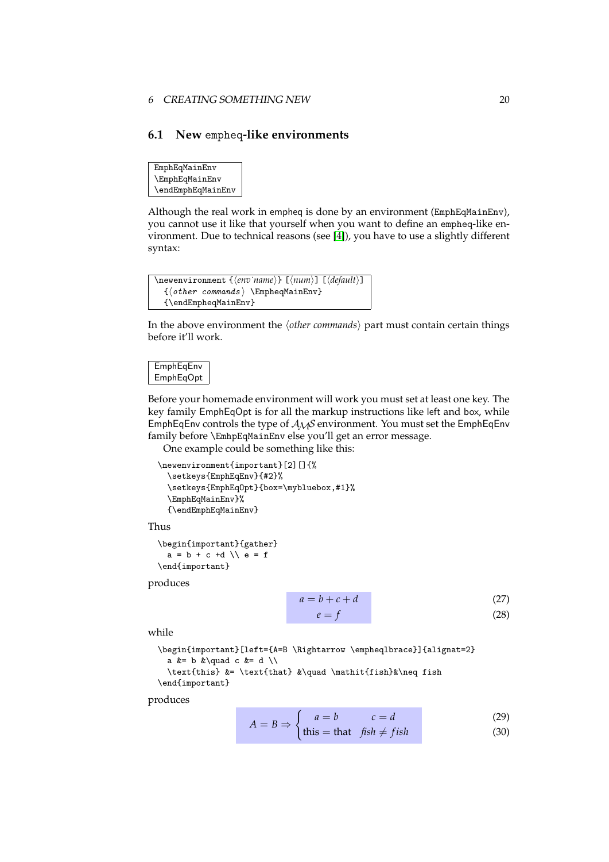#### 6 CREATING SOMETHING NEW 20

## <span id="page-19-0"></span>**6.1 New** empheq**-like environments**

EmphEqMainEnv \EmphEqMainEnv \endEmphEqMainEnv

Although the real work in empheq is done by an environment (EmphEqMainEnv), you cannot use it like that yourself when you want to define an empheq-like environment. Due to technical reasons (see [\[4\]](#page-22-0)), you have to use a slightly different syntax:

```
\newenvironment {⟨env˙name⟩} [⟨num⟩] [⟨default⟩]
  {⟨other commands ⟩ \EmpheqMainEnv}
 {\endEmpheqMainEnv}
```
In the above environment the ⟨*other commands*⟩ part must contain certain things before it'll work.

### **EmphEqEnv** EmphEqOpt

Before your homemade environment will work you must set at least one key. The key family EmphEqOpt is for all the markup instructions like left and box, while EmphEqEnv controls the type of  $A_{\mathcal{M}}S$  environment. You must set the EmphEqEnv family before \EmhpEqMainEnv else you'll get an error message.

One example could be something like this:

```
\newenvironment{important}[2][]{%
 \setkeys{EmphEqEnv}{#2}%
 \setkeys{EmphEqOpt}{box=\mybluebox,#1}%
 \EmphEqMainEnv}%
 {\endEmphEqMainEnv}
```
Thus

```
\begin{important}{gather}
  a = b + c + d \cup e = f\end{important}
```
produces

$$
a = b + c + d \tag{27}
$$

$$
= f \tag{28}
$$

while

```
\begin{important}[left={A=B \Rightarrow \empheqlbrace}]{alignat=2}
  a &= b &\quad c &= d \\
  \text{this} &= \text{that} &\quad \mathit{fish}&\neq fish
\end{important}
```
*e* = *f*

produces

$$
A = B \Rightarrow \begin{cases} a = b & c = d \\ \text{diam} & (29) \end{cases}
$$

$$
f_1 = f_2
$$
 (30)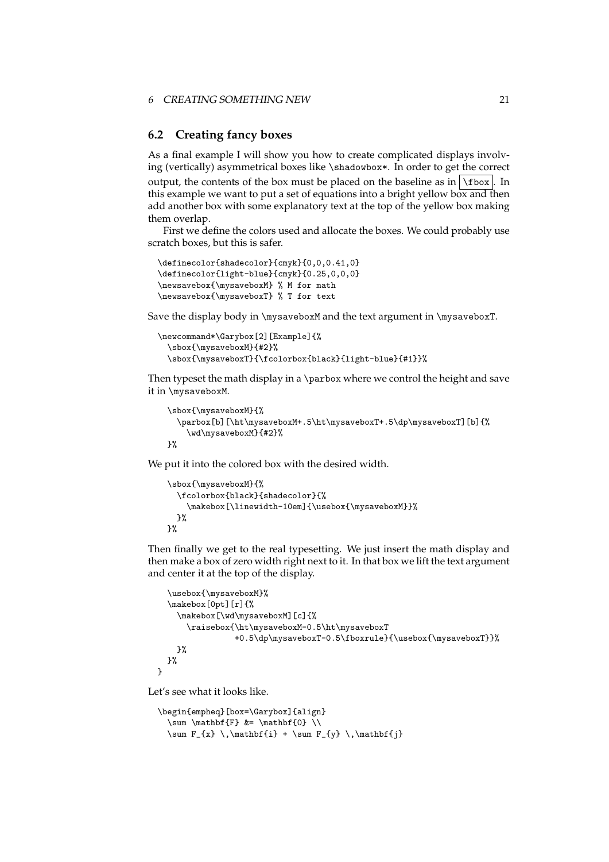#### 6 CREATING SOMETHING NEW 21

### <span id="page-20-0"></span>**6.2 Creating fancy boxes**

As a final example I will show you how to create complicated displays involving (vertically) asymmetrical boxes like \shadowbox\*. In order to get the correct output, the contents of the box must be placed on the baseline as in  $\frac{\text{box}}{\text{box}}$ . In this example we want to put a set of equations into a bright yellow box and then add another box with some explanatory text at the top of the yellow box making them overlap.

First we define the colors used and allocate the boxes. We could probably use scratch boxes, but this is safer.

```
\definecolor{shadecolor}{cmyk}{0,0,0.41,0}
\definecolor{light-blue}{cmyk}{0.25,0,0,0}
\newsavebox{\mysaveboxM} % M for math
\newsavebox{\mysaveboxT} % T for text
```
Save the display body in \mysaveboxM and the text argument in \mysaveboxT.

```
\newcommand*\Garybox[2][Example]{%
  \sbox{\mysaveboxM}{#2}%
 \sbox{\mysaveboxT}{\fcolorbox{black}{light-blue}{#1}}%
```
Then typeset the math display in a \parbox where we control the height and save it in \mysaveboxM.

```
\sbox{\mysaveboxM}{%
  \parbox[b][\ht\mysaveboxM+.5\ht\mysaveboxT+.5\dp\mysaveboxT][b]{%
    \wd\mysaveboxM}{#2}%
}%
```
We put it into the colored box with the desired width.

```
\sbox{\mysaveboxM}{%
  \fcolorbox{black}{shadecolor}{%
    \makebox[\linewidth-10em]{\usebox{\mysaveboxM}}%
  \gamma%
}%
```
Then finally we get to the real typesetting. We just insert the math display and then make a box of zero width right next to it. In that box we lift the text argument and center it at the top of the display.

```
\usebox{\mysaveboxM}%
  \makebox[0pt][r]{%
    \makebox[\wd\mysaveboxM][c]{%
      \raisebox{\ht\mysaveboxM-0.5\ht\mysaveboxT
                +0.5\dp\mysaveboxT-0.5\fboxrule}{\usebox{\mysaveboxT}}%
    }%
 }%
}
```
Let's see what it looks like.

```
\begin{empheq}[box=\Garybox]{align}
 \sum \mathcal{F} &= \mathbf{0} \\
 \sum F_{x} \, \mathbf{i} + \sum F_{y} \, \mathbf{j}
```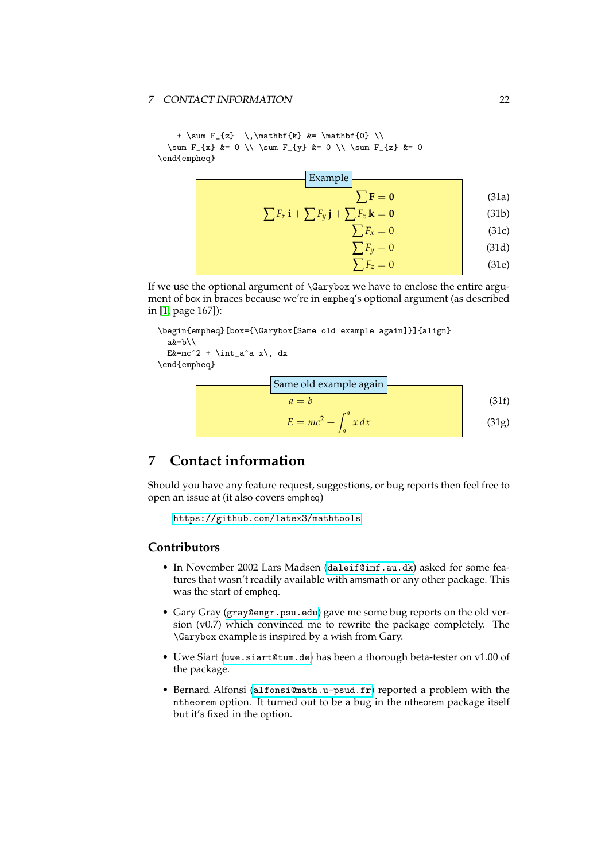### 7 CONTACT INFORMATION 22

```
+ \sum F_{z} \ \lambda + \sum F_{z} \ \lambda + \lambda\sum F_{x} &= 0 \\ \sum F_{y} &= 0 \\ \sum F_{z} &= 0
\end{empheq}
```

| Example                                                                        |       |
|--------------------------------------------------------------------------------|-------|
| $\sum \mathbf{F} = \mathbf{0}$                                                 | (31a) |
| $\sum F_x \mathbf{i} + \sum F_y \mathbf{j} + \sum F_z \mathbf{k} = \mathbf{0}$ | (31b) |
| $\sum F_x = 0$                                                                 | (31c) |
| $\sum F_y = 0$                                                                 | (31d) |
| $\sum F_z = 0$                                                                 | (31e) |

If we use the optional argument of \Garybox we have to enclose the entire argument of box in braces because we're in empheq's optional argument (as described in [\[1,](#page-22-1) page 167]):

```
\begin{empheq}[box={\Garybox[Same old example again]}]{align}
  a\&=b\setminus\setminusE x = mc^2 + \int_0^x x \, dx\end{empheq}
```
Same old example again

\n
$$
a = b
$$
\n
$$
E = mc^{2} + \int_{a}^{a} x \, dx
$$
\n(31g)

# <span id="page-21-0"></span>**7 Contact information**

Should you have any feature request, suggestions, or bug reports then feel free to open an issue at (it also covers empheq)

```
https://github.com/latex3/mathtools
```
## **Contributors**

- In November 2002 Lars Madsen ([daleif@imf.au.dk](mailto:daleif@imf.au.dk)) asked for some features that wasn't readily available with amsmath or any other package. This was the start of empheq.
- Gary Gray ([gray@engr.psu.edu](mailto:gray@engr.psu.edu)) gave me some bug reports on the old version (v0.7) which convinced me to rewrite the package completely. The \Garybox example is inspired by a wish from Gary.
- Uwe Siart ([uwe.siart@tum.de](mailto:uwe.siart@tum.de)) has been a thorough beta-tester on v1.00 of the package.
- Bernard Alfonsi ([alfonsi@math.u-psud.fr](mailto:alfonsi@math.u-psud.fr)) reported a problem with the ntheorem option. It turned out to be a bug in the ntheorem package itself but it's fixed in the option.